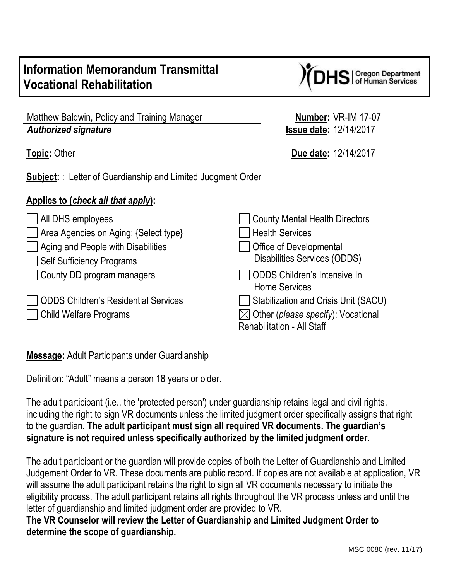## **Information Memorandum Transmittal Vocational Rehabilitation**

| Matthew Baldwin, Policy and Training Manager |  |
|----------------------------------------------|--|
| <b>Authorized signature</b>                  |  |

**Subject:** : Letter of Guardianship and Limited Judgment Order

## **Applies to (***check all that apply***):**

| $\Box$ All DHS employees                    | <b>County Mental Health Directors</b>                                        |
|---------------------------------------------|------------------------------------------------------------------------------|
| Area Agencies on Aging: {Select type}       | <b>Health Services</b>                                                       |
| Aging and People with Disabilities          | <b>Office of Developmental</b>                                               |
| Self Sufficiency Programs                   | <b>Disabilities Services (ODDS)</b>                                          |
| County DD program managers                  | ODDS Children's Intensive In<br><b>Home Services</b>                         |
| <b>ODDS Children's Residential Services</b> | Stabilization and Crisis Unit (SACU)                                         |
| Child Welfare Programs                      | $\boxtimes$ Other (please specify): Vocational<br>Rehabilitation - All Staff |

**Message:** Adult Participants under Guardianship

Definition: "Adult" means a person 18 years or older.

The adult participant (i.e., the 'protected person') under guardianship retains legal and civil rights, including the right to sign VR documents unless the limited judgment order specifically assigns that right to the guardian. **The adult participant must sign all required VR documents. The guardian's signature is not required unless specifically authorized by the limited judgment order**.

The adult participant or the guardian will provide copies of both the Letter of Guardianship and Limited Judgement Order to VR. These documents are public record. If copies are not available at application, VR will assume the adult participant retains the right to sign all VR documents necessary to initiate the eligibility process. The adult participant retains all rights throughout the VR process unless and until the letter of guardianship and limited judgment order are provided to VR.

**The VR Counselor will review the Letter of Guardianship and Limited Judgment Order to determine the scope of guardianship.** 

**Number: VR-IM 17-07** *Authorized signature* **Issue date:** 12/14/2017

**Topic:** Other **Due date:** 12/14/2017

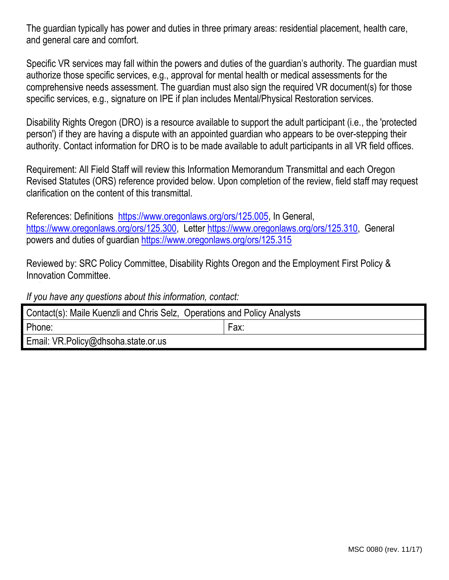The guardian typically has power and duties in three primary areas: residential placement, health care, and general care and comfort.

Specific VR services may fall within the powers and duties of the guardian's authority. The guardian must authorize those specific services, e.g., approval for mental health or medical assessments for the comprehensive needs assessment. The guardian must also sign the required VR document(s) for those specific services, e.g., signature on IPE if plan includes Mental/Physical Restoration services.

Disability Rights Oregon (DRO) is a resource available to support the adult participant (i.e., the 'protected person') if they are having a dispute with an appointed guardian who appears to be over-stepping their authority. Contact information for DRO is to be made available to adult participants in all VR field offices.

Requirement: All Field Staff will review this Information Memorandum Transmittal and each Oregon Revised Statutes (ORS) reference provided below. Upon completion of the review, field staff may request clarification on the content of this transmittal.

References: Definitions [https://www.oregonlaws.org/ors/125.005,](https://www.oregonlaws.org/ors/125.005) In General, [https://www.oregonlaws.org/ors/125.300,](https://www.oregonlaws.org/ors/125.300) Letter [https://www.oregonlaws.org/ors/125.310,](https://www.oregonlaws.org/ors/125.310) General powers and duties of guardian<https://www.oregonlaws.org/ors/125.315>

Reviewed by: SRC Policy Committee, Disability Rights Oregon and the Employment First Policy & Innovation Committee.

*If you have any questions about this information, contact:*

| Contact(s): Maile Kuenzli and Chris Selz, Operations and Policy Analysts |      |  |
|--------------------------------------------------------------------------|------|--|
| Phone:                                                                   | Fax: |  |
| Email: VR.Policy@dhsoha.state.or.us                                      |      |  |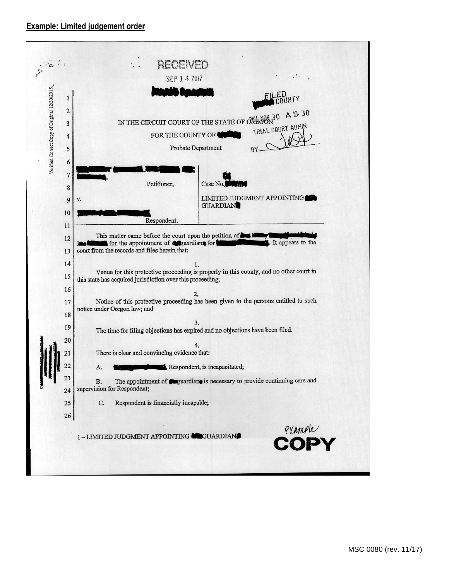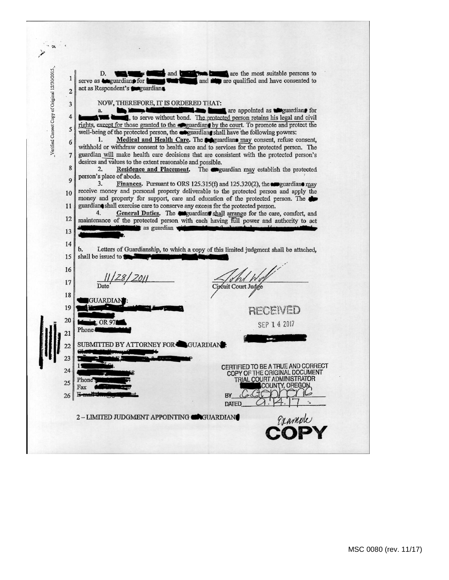$\cdot$  a Verified Correct Copy of Original 12/30/2015. are the most suitable persons to and the are qualified and have consented to D. **1245** and b  $\mathbf{1}$ serve as **teguardian** for act as Respondent's **Consequantians**  $\mathbf 2$ NOW, THEREFORE, IT IS ORDERED THAT:  $\overline{\mathbf{3}}$ are appointed as **Maguardian** for a.  $\overline{4}$ , to serve without bond. The protected person retains his legal and civil rights, except for those granted to the eguardian by the court. To promote and protect the 5 well-being of the protected person, the expuardiant shall have the following powers:  $\mathbf{1}$ Medical and Health Care. The **Conductions** may consent, refuse consent, 6 withhold or withdraw consent to health care and to services for the protected person. The guardian will make health care decisions that are consistent with the protected person's  $\overline{7}$ desires and values to the extent reasonable and possible. 8 Residence and Placement. The eguardian may establish the protected  $2$ person's place of abode. 9  $3.$ Finances. Pursuant to ORS 125.315(f) and 125.320(2), the expectation may receive money and personal property deliverable to the protected person and apply the 10 money and property for support, care and education of the protected person. The guardian shall exercise care to conserve any excess for the protected person. 11 General Duties. The enguardian shall arrange for the care, comfort, and 4. 12 maintenance of the protected person with each having full power and authority to act as guardian 13 14  $<sub>b</sub>$ </sub> Letters of Guardianship, to which a copy of this limited judgment shall be attached, shall be issued to 15 16  $11/28/2011$ rni 17 rcuit Court Judge 18 GUARDIAN 19 RECEIVED 20  $, OR97$ SEP 14 2017 Phone! 21 SUBMITTED BY ATTORNEY FOR GUARDIAN: 22 23 CERTIFIED TO BE A TRUE AND CORRECT 24 COPY OF THE ORIGINAL DOCUMENT TRIAL COURT ADMINISTRATOR Phot 25 COUNTY, OREGON Fax  $E -$ 26 BY DATED. 2 - LIMITED JUDGMENT APPOINTING GOUARDIAN